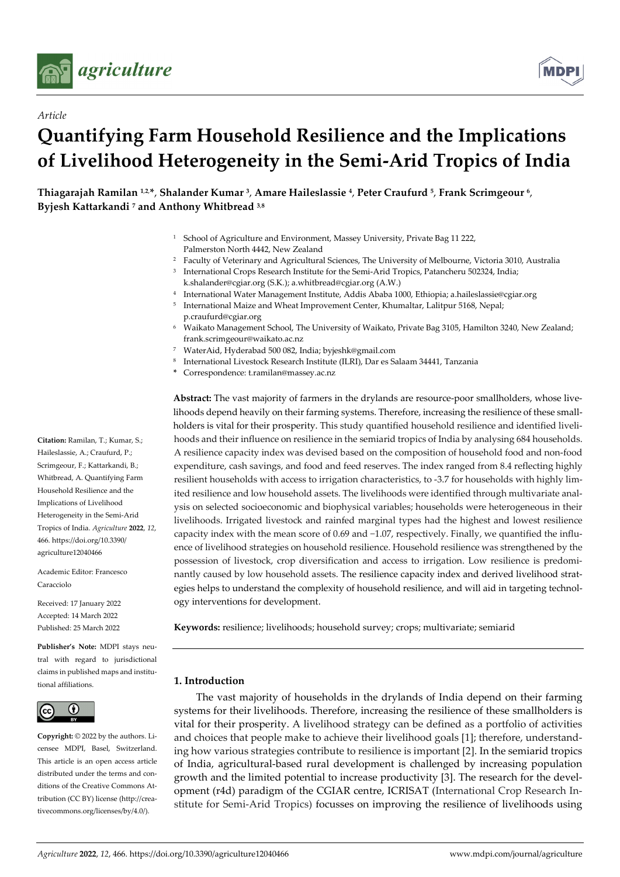

*Article*



# **Quantifying Farm Household Resilience and the Implications of Livelihood Heterogeneity in the Semi-Arid Tropics of India**

**Thiagarajah Ramilan <sup>1</sup>**,**2**, **\***, **Shalander Kumar 3**, **Amare Haileslassie 4**, **Peter Craufurd 5**, **Frank Scrimgeour 6**, **Byjesh Kattarkandi 7 and Anthony Whitbread 3**,**<sup>8</sup>**

- <sup>1</sup> School of Agriculture and Environment, Massey University, Private Bag 11 222, Palmerston North 4442, New Zealand
- <sup>2</sup> Faculty of Veterinary and Agricultural Sciences, The University of Melbourne, Victoria 3010, Australia
- <sup>3</sup> International Crops Research Institute for the Semi-Arid Tropics, Patancheru 502324, India; k.shalander@cgiar.org (S.K.); a.whitbread@cgiar.org (A.W.)
- <sup>4</sup> International Water Management Institute, Addis Ababa 1000, Ethiopia; a.haileslassie@cgiar.org
- <sup>5</sup> International Maize and Wheat Improvement Center, Khumaltar, Lalitpur 5168, Nepal; p.craufurd@cgiar.org
- <sup>6</sup> Waikato Management School, The University of Waikato, Private Bag 3105, Hamilton 3240, New Zealand; frank.scrimgeour@waikato.ac.nz
- <sup>7</sup> WaterAid, Hyderabad 500 082, India; byjeshk@gmail.com
- <sup>8</sup> International Livestock Research Institute (ILRI), Dar es Salaam 34441, Tanzania
- **\*** Correspondence: t.ramilan@massey.ac.nz

**Abstract:** The vast majority of farmers in the drylands are resource-poor smallholders, whose livelihoods depend heavily on their farming systems. Therefore, increasing the resilience of these smallholders is vital for their prosperity. This study quantified household resilience and identified livelihoods and their influence on resilience in the semiarid tropics of India by analysing 684 households. A resilience capacity index was devised based on the composition of household food and non-food expenditure, cash savings, and food and feed reserves. The index ranged from 8.4 reflecting highly resilient households with access to irrigation characteristics, to -3.7 for households with highly limited resilience and low household assets. The livelihoods were identified through multivariate analysis on selected socioeconomic and biophysical variables; households were heterogeneous in their livelihoods. Irrigated livestock and rainfed marginal types had the highest and lowest resilience capacity index with the mean score of 0.69 and −1.07, respectively. Finally, we quantified the influence of livelihood strategies on household resilience. Household resilience was strengthened by the possession of livestock, crop diversification and access to irrigation. Low resilience is predominantly caused by low household assets. The resilience capacity index and derived livelihood strategies helps to understand the complexity of household resilience, and will aid in targeting technology interventions for development.

**Keywords:** resilience; livelihoods; household survey; crops; multivariate; semiarid

## **1. Introduction**

The vast majority of households in the drylands of India depend on their farming systems for their livelihoods. Therefore, increasing the resilience of these smallholders is vital for their prosperity. A livelihood strategy can be defined as a portfolio of activities and choices that people make to achieve their livelihood goals [1]; therefore, understanding how various strategies contribute to resilience is important [2]. In the semiarid tropics of India, agricultural-based rural development is challenged by increasing population growth and the limited potential to increase productivity [3]. The research for the development (r4d) paradigm of the CGIAR centre, ICRISAT (International Crop Research Institute for Semi-Arid Tropics) focusses on improving the resilience of livelihoods using

**Citation:** Ramilan, T.; Kumar, S.; Haileslassie, A.; Craufurd, P.; Scrimgeour, F.; Kattarkandi, B.; Whitbread, A. Quantifying Farm Household Resilience and the Implications of Livelihood Heterogeneity in the Semi-Arid Tropics of India. *Agriculture* **2022**, *12*, 466. https://doi.org/10.3390/ agriculture12040466

Academic Editor: Francesco Caracciolo

Received: 17 January 2022 Accepted: 14 March 2022 Published: 25 March 2022

**Publisher's Note:** MDPI stays neutral with regard to jurisdictional claims in published maps and institutional affiliations.



**Copyright:** © 2022 by the authors. Licensee MDPI, Basel, Switzerland. This article is an open access article distributed under the terms and conditions of the Creative Commons Attribution (CC BY) license (http://creativecommons.org/licenses/by/4.0/).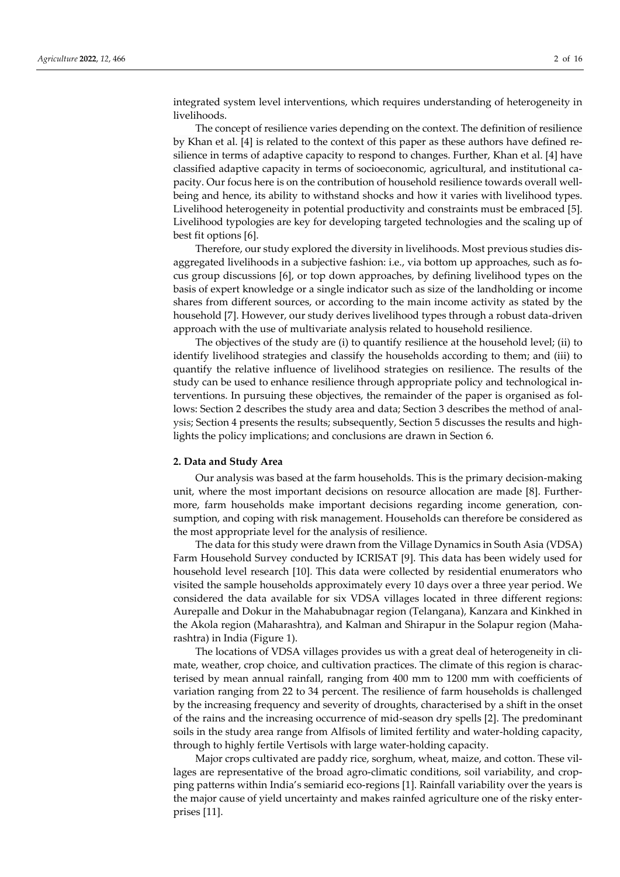integrated system level interventions, which requires understanding of heterogeneity in livelihoods.

The concept of resilience varies depending on the context. The definition of resilience by Khan et al. [4] is related to the context of this paper as these authors have defined resilience in terms of adaptive capacity to respond to changes. Further, Khan et al. [4] have classified adaptive capacity in terms of socioeconomic, agricultural, and institutional capacity. Our focus here is on the contribution of household resilience towards overall wellbeing and hence, its ability to withstand shocks and how it varies with livelihood types. Livelihood heterogeneity in potential productivity and constraints must be embraced [5]. Livelihood typologies are key for developing targeted technologies and the scaling up of best fit options [6].

Therefore, our study explored the diversity in livelihoods. Most previous studies disaggregated livelihoods in a subjective fashion: i.e., via bottom up approaches, such as focus group discussions [6], or top down approaches, by defining livelihood types on the basis of expert knowledge or a single indicator such as size of the landholding or income shares from different sources, or according to the main income activity as stated by the household [7]. However, our study derives livelihood types through a robust data-driven approach with the use of multivariate analysis related to household resilience.

The objectives of the study are (i) to quantify resilience at the household level; (ii) to identify livelihood strategies and classify the households according to them; and (iii) to quantify the relative influence of livelihood strategies on resilience. The results of the study can be used to enhance resilience through appropriate policy and technological interventions. In pursuing these objectives, the remainder of the paper is organised as follows: Section 2 describes the study area and data; Section 3 describes the method of analysis; Section 4 presents the results; subsequently, Section 5 discusses the results and highlights the policy implications; and conclusions are drawn in Section 6.

#### **2. Data and Study Area**

Our analysis was based at the farm households. This is the primary decision-making unit, where the most important decisions on resource allocation are made [8]. Furthermore, farm households make important decisions regarding income generation, consumption, and coping with risk management. Households can therefore be considered as the most appropriate level for the analysis of resilience.

The data for this study were drawn from the Village Dynamics in South Asia (VDSA) Farm Household Survey conducted by ICRISAT [9]. This data has been widely used for household level research [10]. This data were collected by residential enumerators who visited the sample households approximately every 10 days over a three year period. We considered the data available for six VDSA villages located in three different regions: Aurepalle and Dokur in the Mahabubnagar region (Telangana), Kanzara and Kinkhed in the Akola region (Maharashtra), and Kalman and Shirapur in the Solapur region (Maharashtra) in India (Figure 1).

The locations of VDSA villages provides us with a great deal of heterogeneity in climate, weather, crop choice, and cultivation practices. The climate of this region is characterised by mean annual rainfall, ranging from 400 mm to 1200 mm with coefficients of variation ranging from 22 to 34 percent. The resilience of farm households is challenged by the increasing frequency and severity of droughts, characterised by a shift in the onset of the rains and the increasing occurrence of mid-season dry spells [2]. The predominant soils in the study area range from Alfisols of limited fertility and water-holding capacity, through to highly fertile Vertisols with large water-holding capacity.

Major crops cultivated are paddy rice, sorghum, wheat, maize, and cotton. These villages are representative of the broad agro-climatic conditions, soil variability, and cropping patterns within India's semiarid eco-regions [1]. Rainfall variability over the years is the major cause of yield uncertainty and makes rainfed agriculture one of the risky enterprises [11].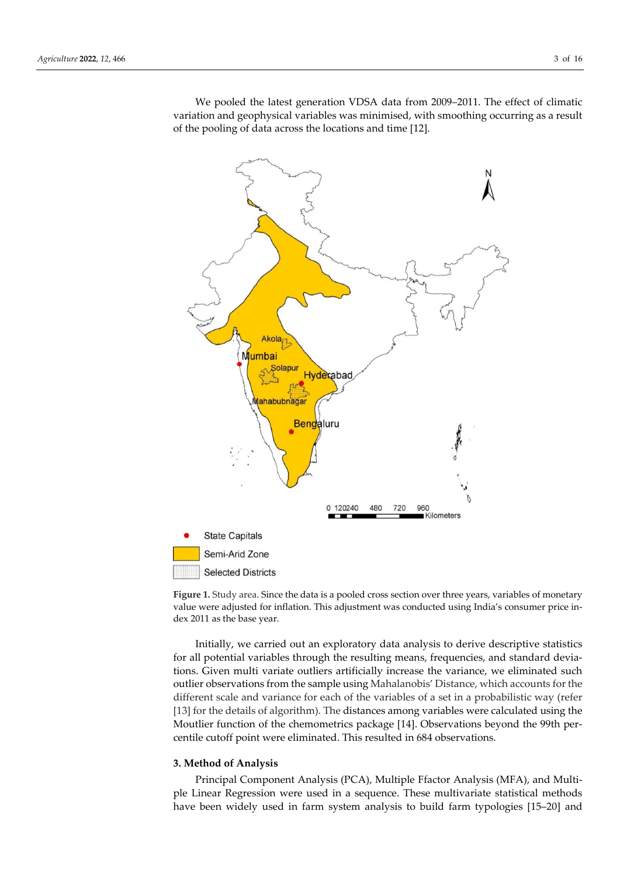

We pooled the latest generation VDSA data from 2009–2011. The effect of climatic variation and geophysical variables was minimised, with smoothing occurring as a result of the pooling of data across the locations and time [12].

**Figure 1.** Study area. Since the data is a pooled cross section over three years, variables of monetary value were adjusted for inflation. This adjustment was conducted using India's consumer price index 2011 as the base year.

Initially, we carried out an exploratory data analysis to derive descriptive statistics for all potential variables through the resulting means, frequencies, and standard deviations. Given multi variate outliers artificially increase the variance, we eliminated such outlier observations from the sample using Mahalanobis' Distance, which accounts for the different scale and variance for each of the variables of a set in a probabilistic way (refer [13] for the details of algorithm). The distances among variables were calculated using the Moutlier function of the chemometrics package [14]. Observations beyond the 99th percentile cutoff point were eliminated. This resulted in 684 observations.

#### **3. Method of Analysis**

Principal Component Analysis (PCA), Multiple Ffactor Analysis (MFA), and Multiple Linear Regression were used in a sequence. These multivariate statistical methods have been widely used in farm system analysis to build farm typologies [15–20] and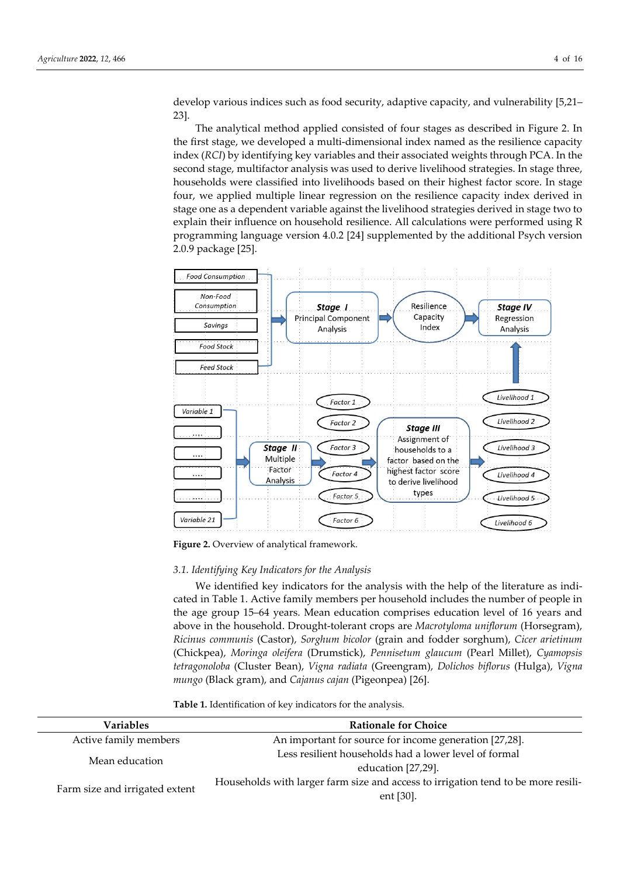develop various indices such as food security, adaptive capacity, and vulnerability [5,21– 23].

The analytical method applied consisted of four stages as described in Figure 2. In the first stage, we developed a multi-dimensional index named as the resilience capacity index (*RCI*) by identifying key variables and their associated weights through PCA. In the second stage, multifactor analysis was used to derive livelihood strategies. In stage three, households were classified into livelihoods based on their highest factor score. In stage four, we applied multiple linear regression on the resilience capacity index derived in stage one as a dependent variable against the livelihood strategies derived in stage two to explain their influence on household resilience. All calculations were performed using R programming language version 4.0.2 [24] supplemented by the additional Psych version 2.0.9 package [25].



Figure 2. Overview of analytical framework.

## *3.1. Identifying Key Indicators for the Analysis*

We identified key indicators for the analysis with the help of the literature as indicated in Table 1. Active family members per household includes the number of people in the age group 15–64 years. Mean education comprises education level of 16 years and above in the household. Drought-tolerant crops are *Macrotyloma uniflorum* (Horsegram), *Ricinus communis* (Castor), *Sorghum bicolor* (grain and fodder sorghum), *Cicer arietinum* (Chickpea), *Moringa oleifera* (Drumstick), *Pennisetum glaucum* (Pearl Millet), *Cyamopsis tetragonoloba* (Cluster Bean), *Vigna radiata* (Greengram), *Dolichos biflorus* (Hulga), *Vigna mungo* (Black gram), and *Cajanus cajan* (Pigeonpea) [26].

**Table 1.** Identification of key indicators for the analysis.

| Variables                      | <b>Rationale for Choice</b>                                                       |  |  |
|--------------------------------|-----------------------------------------------------------------------------------|--|--|
| Active family members          | An important for source for income generation [27,28].                            |  |  |
|                                | Less resilient households had a lower level of formal                             |  |  |
| Mean education                 | education [27,29].                                                                |  |  |
|                                | Households with larger farm size and access to irrigation tend to be more resili- |  |  |
| Farm size and irrigated extent | ent [30].                                                                         |  |  |
|                                |                                                                                   |  |  |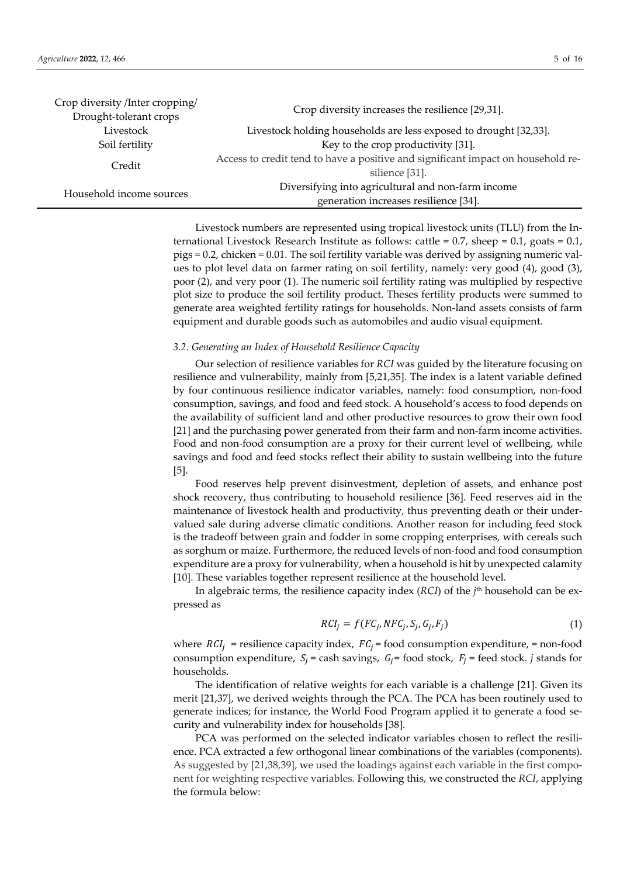| Crop diversity /Inter cropping/<br>Drought-tolerant crops | Crop diversity increases the resilience [29,31].                                 |  |  |  |  |  |
|-----------------------------------------------------------|----------------------------------------------------------------------------------|--|--|--|--|--|
|                                                           |                                                                                  |  |  |  |  |  |
| Livestock                                                 | Livestock holding households are less exposed to drought [32,33].                |  |  |  |  |  |
| Soil fertility                                            | Key to the crop productivity [31].                                               |  |  |  |  |  |
| Credit                                                    | Access to credit tend to have a positive and significant impact on household re- |  |  |  |  |  |
|                                                           | silience [31].                                                                   |  |  |  |  |  |
| Household income sources                                  | Diversifying into agricultural and non-farm income                               |  |  |  |  |  |
|                                                           | generation increases resilience [34].                                            |  |  |  |  |  |

Livestock numbers are represented using tropical livestock units (TLU) from the International Livestock Research Institute as follows: cattle =  $0.7$ , sheep =  $0.1$ , goats =  $0.1$ , pigs = 0.2, chicken = 0.01. The soil fertility variable was derived by assigning numeric values to plot level data on farmer rating on soil fertility, namely: very good (4), good (3), poor (2), and very poor (1). The numeric soil fertility rating was multiplied by respective plot size to produce the soil fertility product. Theses fertility products were summed to generate area weighted fertility ratings for households. Non-land assets consists of farm equipment and durable goods such as automobiles and audio visual equipment.

## *3.2. Generating an Index of Household Resilience Capacity*

Our selection of resilience variables for *RCI* was guided by the literature focusing on resilience and vulnerability, mainly from [5,21,35]. The index is a latent variable defined by four continuous resilience indicator variables, namely: food consumption, non-food consumption, savings, and food and feed stock. A household's access to food depends on the availability of sufficient land and other productive resources to grow their own food [21] and the purchasing power generated from their farm and non-farm income activities. Food and non-food consumption are a proxy for their current level of wellbeing, while savings and food and feed stocks reflect their ability to sustain wellbeing into the future [5].

Food reserves help prevent disinvestment, depletion of assets, and enhance post shock recovery, thus contributing to household resilience [36]. Feed reserves aid in the maintenance of livestock health and productivity, thus preventing death or their undervalued sale during adverse climatic conditions. Another reason for including feed stock is the tradeoff between grain and fodder in some cropping enterprises, with cereals such as sorghum or maize. Furthermore, the reduced levels of non-food and food consumption expenditure are a proxy for vulnerability, when a household is hit by unexpected calamity [10]. These variables together represent resilience at the household level.

In algebraic terms, the resilience capacity index (*RCI*) of the *j*th household can be expressed as

$$
RCI_j = f(FC_j, NFC_j, S_j, G_j, F_j)
$$
\n(1)

where  $RCI_i$  = resilience capacity index,  $FC_i$  = food consumption expenditure, = non-food consumption expenditure,  $S_i$  = cash savings,  $G_i$  = food stock,  $F_i$  = feed stock. *j* stands for households.

The identification of relative weights for each variable is a challenge [21]. Given its merit [21,37], we derived weights through the PCA. The PCA has been routinely used to generate indices; for instance, the World Food Program applied it to generate a food security and vulnerability index for households [38].

PCA was performed on the selected indicator variables chosen to reflect the resilience. PCA extracted a few orthogonal linear combinations of the variables (components). As suggested by [21,38,39], we used the loadings against each variable in the first component for weighting respective variables. Following this, we constructed the *RCI*, applying the formula below: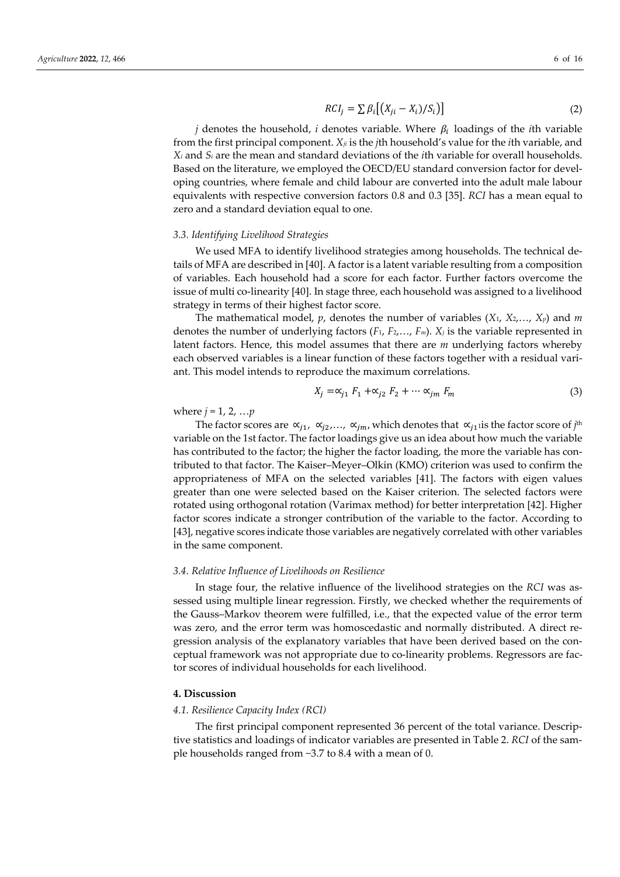$$
RCI_j = \sum \beta_i \big[ \big( X_{ji} - X_i \big) / S_i \big) \big] \tag{2}
$$

*j* denotes the household, *i* denotes variable. Where  $\beta_i$  loadings of the *i*th variable from the first principal component. *Xji* is the *j*th household's value for the *i*th variable, and *Xi* and *Si* are the mean and standard deviations of the *i*th variable for overall households. Based on the literature, we employed the OECD/EU standard conversion factor for developing countries, where female and child labour are converted into the adult male labour equivalents with respective conversion factors 0.8 and 0.3 [35]. *RCI* has a mean equal to zero and a standard deviation equal to one.

#### *3.3. Identifying Livelihood Strategies*

We used MFA to identify livelihood strategies among households. The technical details of MFA are described in [40]. A factor is a latent variable resulting from a composition of variables. Each household had a score for each factor. Further factors overcome the issue of multi co-linearity [40]. In stage three, each household was assigned to a livelihood strategy in terms of their highest factor score.

The mathematical model,  $p$ , denotes the number of variables  $(X_1, X_2, \ldots, X_p)$  and  $m$ denotes the number of underlying factors  $(F_1, F_2, \ldots, F_m)$ .  $X_j$  is the variable represented in latent factors. Hence, this model assumes that there are *m* underlying factors whereby each observed variables is a linear function of these factors together with a residual variant. This model intends to reproduce the maximum correlations.

$$
X_j = \alpha_{j1} F_1 + \alpha_{j2} F_2 + \dots \alpha_{jm} F_m \tag{3}
$$

where  $j = 1, 2, ... p$ 

The factor scores are  $\alpha_{i1}$ ,  $\alpha_{i2}$ ,...,  $\alpha_{im}$ , which denotes that  $\alpha_{i1}$  is the factor score of *j*<sup>th</sup> variable on the 1st factor. The factor loadings give us an idea about how much the variable has contributed to the factor; the higher the factor loading, the more the variable has contributed to that factor. The Kaiser–Meyer–Olkin (KMO) criterion was used to confirm the appropriateness of MFA on the selected variables [41]. The factors with eigen values greater than one were selected based on the Kaiser criterion. The selected factors were rotated using orthogonal rotation (Varimax method) for better interpretation [42]. Higher factor scores indicate a stronger contribution of the variable to the factor. According to [43], negative scores indicate those variables are negatively correlated with other variables in the same component.

#### *3.4. Relative Influence of Livelihoods on Resilience*

In stage four, the relative influence of the livelihood strategies on the *RCI* was assessed using multiple linear regression. Firstly, we checked whether the requirements of the Gauss–Markov theorem were fulfilled, i.e., that the expected value of the error term was zero, and the error term was homoscedastic and normally distributed. A direct regression analysis of the explanatory variables that have been derived based on the conceptual framework was not appropriate due to co-linearity problems. Regressors are factor scores of individual households for each livelihood.

## **4. Discussion**

#### *4.1. Resilience Capacity Index (RCI)*

The first principal component represented 36 percent of the total variance. Descriptive statistics and loadings of indicator variables are presented in Table 2. *RCI* of the sample households ranged from −3.7 to 8.4 with a mean of 0.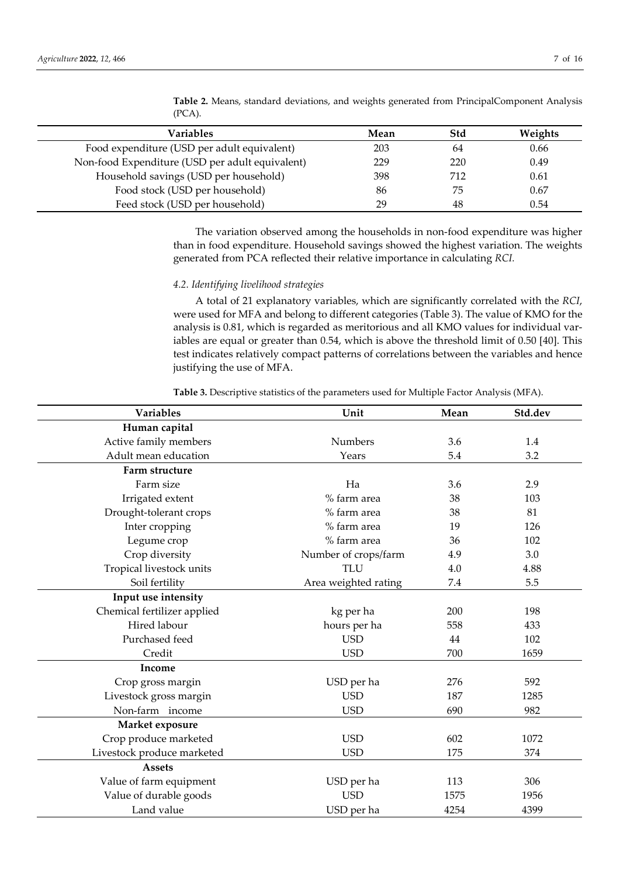| Variables                                       | Mean | Std | Weights |
|-------------------------------------------------|------|-----|---------|
| Food expenditure (USD per adult equivalent)     | 203  | 64  | 0.66    |
| Non-food Expenditure (USD per adult equivalent) | 229  | 220 | 0.49    |
| Household savings (USD per household)           | 398  | 712 | 0.61    |
| Food stock (USD per household)                  | 86   | 75  | 0.67    |
| Feed stock (USD per household)                  | 29   | 48  | 0.54    |

**Table 2.** Means, standard deviations, and weights generated from PrincipalComponent Analysis (PCA).

The variation observed among the households in non-food expenditure was higher than in food expenditure. Household savings showed the highest variation. The weights generated from PCA reflected their relative importance in calculating *RCI.*

### *4.2. Identifying livelihood strategies*

A total of 21 explanatory variables, which are significantly correlated with the *RCI*, were used for MFA and belong to different categories (Table 3). The value of KMO for the analysis is 0.81, which is regarded as meritorious and all KMO values for individual variables are equal or greater than 0.54, which is above the threshold limit of 0.50 [40]. This test indicates relatively compact patterns of correlations between the variables and hence justifying the use of MFA.

**Table 3.** Descriptive statistics of the parameters used for Multiple Factor Analysis (MFA).

| Variables                   | Unit                       | Mean | Std.dev |
|-----------------------------|----------------------------|------|---------|
| Human capital               |                            |      |         |
| Active family members       | <b>Numbers</b>             | 3.6  | 1.4     |
| Adult mean education        | Years                      | 5.4  | 3.2     |
| Farm structure              |                            |      |         |
| Farm size                   | Ha                         | 3.6  | 2.9     |
| Irrigated extent            | % farm area                | 38   | 103     |
| Drought-tolerant crops      | % farm area                | 38   | 81      |
| Inter cropping              | % farm area                | 19   | 126     |
| Legume crop                 | % farm area                | 36   | 102     |
| Crop diversity              | Number of crops/farm       | 4.9  | 3.0     |
| Tropical livestock units    | <b>TLU</b>                 | 4.0  | 4.88    |
| Soil fertility              | Area weighted rating       | 7.4  | 5.5     |
| Input use intensity         |                            |      |         |
| Chemical fertilizer applied | kg per ha                  | 200  | 198     |
| Hired labour                | hours per ha<br>558        |      | 433     |
| Purchased feed              | <b>USD</b><br>44           |      | 102     |
| Credit                      | <b>USD</b><br>700          |      | 1659    |
| Income                      |                            |      |         |
| Crop gross margin           | USD per ha                 | 276  | 592     |
| Livestock gross margin      | <b>USD</b>                 | 187  | 1285    |
| Non-farm income             | <b>USD</b><br>690          |      | 982     |
| Market exposure             |                            |      |         |
| Crop produce marketed       | <b>USD</b>                 | 602  | 1072    |
| Livestock produce marketed  | <b>USD</b><br>175          |      | 374     |
| <b>Assets</b>               |                            |      |         |
| Value of farm equipment     | USD per ha                 | 113  | 306     |
| Value of durable goods      | <b>USD</b>                 | 1575 | 1956    |
| Land value                  | USD per ha<br>4254<br>4399 |      |         |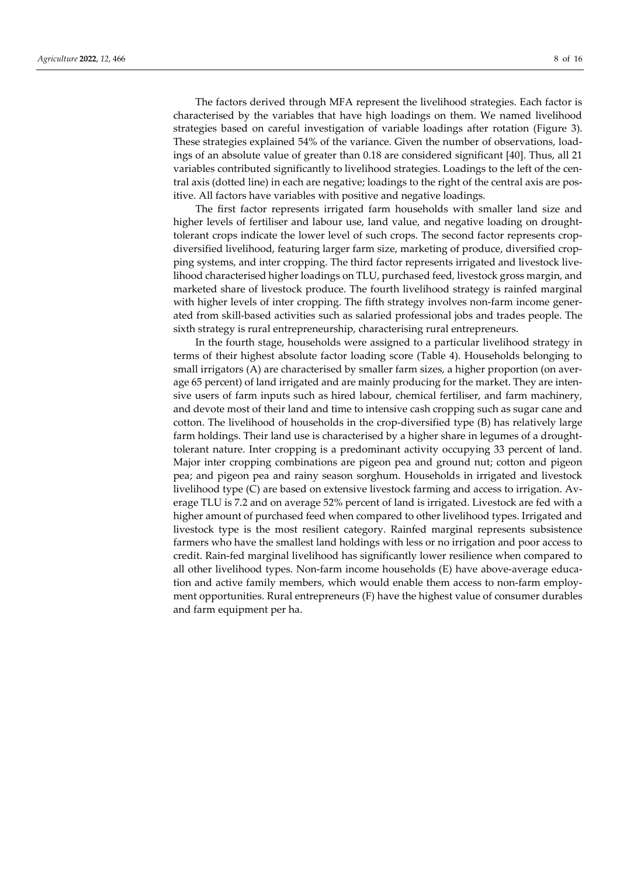The factors derived through MFA represent the livelihood strategies. Each factor is characterised by the variables that have high loadings on them. We named livelihood strategies based on careful investigation of variable loadings after rotation (Figure 3). These strategies explained 54% of the variance. Given the number of observations, loadings of an absolute value of greater than 0.18 are considered significant [40]. Thus, all 21 variables contributed significantly to livelihood strategies. Loadings to the left of the central axis (dotted line) in each are negative; loadings to the right of the central axis are positive. All factors have variables with positive and negative loadings.

The first factor represents irrigated farm households with smaller land size and higher levels of fertiliser and labour use, land value, and negative loading on droughttolerant crops indicate the lower level of such crops. The second factor represents cropdiversified livelihood, featuring larger farm size, marketing of produce, diversified cropping systems, and inter cropping. The third factor represents irrigated and livestock livelihood characterised higher loadings on TLU, purchased feed, livestock gross margin, and marketed share of livestock produce. The fourth livelihood strategy is rainfed marginal with higher levels of inter cropping. The fifth strategy involves non-farm income generated from skill-based activities such as salaried professional jobs and trades people. The sixth strategy is rural entrepreneurship, characterising rural entrepreneurs.

In the fourth stage, households were assigned to a particular livelihood strategy in terms of their highest absolute factor loading score (Table 4). Households belonging to small irrigators (A) are characterised by smaller farm sizes, a higher proportion (on average 65 percent) of land irrigated and are mainly producing for the market. They are intensive users of farm inputs such as hired labour, chemical fertiliser, and farm machinery, and devote most of their land and time to intensive cash cropping such as sugar cane and cotton. The livelihood of households in the crop-diversified type (B) has relatively large farm holdings. Their land use is characterised by a higher share in legumes of a droughttolerant nature. Inter cropping is a predominant activity occupying 33 percent of land. Major inter cropping combinations are pigeon pea and ground nut; cotton and pigeon pea; and pigeon pea and rainy season sorghum. Households in irrigated and livestock livelihood type (C) are based on extensive livestock farming and access to irrigation. Average TLU is 7.2 and on average 52% percent of land is irrigated. Livestock are fed with a higher amount of purchased feed when compared to other livelihood types. Irrigated and livestock type is the most resilient category. Rainfed marginal represents subsistence farmers who have the smallest land holdings with less or no irrigation and poor access to credit. Rain-fed marginal livelihood has significantly lower resilience when compared to all other livelihood types. Non-farm income households (E) have above-average education and active family members, which would enable them access to non-farm employment opportunities. Rural entrepreneurs (F) have the highest value of consumer durables and farm equipment per ha.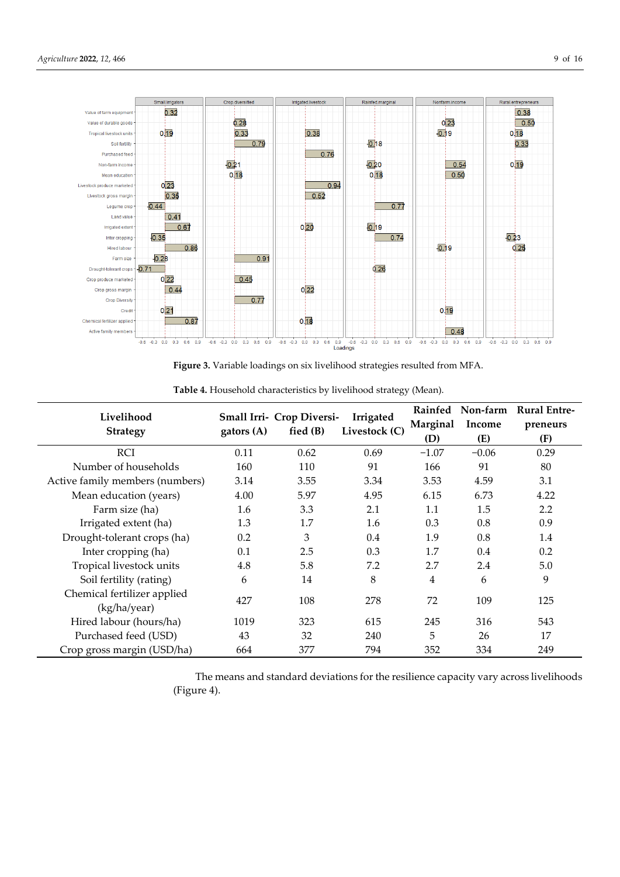

**Figure 3.** Variable loadings on six livelihood strategies resulted from MFA.

| Livelihood                      | Small Irri- Crop Diversi- |            | Irrigated     |          | Rainfed Non-farm | <b>Rural Entre-</b> |
|---------------------------------|---------------------------|------------|---------------|----------|------------------|---------------------|
|                                 |                           | fied $(B)$ | Livestock (C) | Marginal | Income           | preneurs            |
| <b>Strategy</b>                 | gators $(A)$              |            |               | (D)      | (E)              | (F)                 |
| <b>RCI</b>                      | 0.11                      | 0.62       | 0.69          | $-1.07$  | $-0.06$          | 0.29                |
| Number of households            | 160                       | 110        | 91            | 166      | 91               | 80                  |
| Active family members (numbers) | 3.14                      | 3.55       | 3.34          | 3.53     | 4.59             | 3.1                 |
| Mean education (years)          | 4.00                      | 5.97       | 4.95          | 6.15     | 6.73             | 4.22                |
| Farm size (ha)                  | 1.6                       | 3.3        | 2.1           | 1.1      | 1.5              | 2.2                 |
| Irrigated extent (ha)           | 1.3                       | 1.7        | 1.6           | 0.3      | 0.8              | 0.9                 |
| Drought-tolerant crops (ha)     | 0.2                       | 3          | 0.4           | 1.9      | 0.8              | 1.4                 |
| Inter cropping (ha)             | 0.1                       | 2.5        | 0.3           | 1.7      | 0.4              | 0.2                 |
| Tropical livestock units        | 4.8                       | 5.8        | 7.2           | 2.7      | 2.4              | 5.0                 |
| Soil fertility (rating)         | 6                         | 14         | 8             | 4        | 6                | 9                   |
| Chemical fertilizer applied     | 427                       | 108        | 278           | 72       | 109              |                     |
| (kg/ha/year)                    |                           |            |               |          |                  | 125                 |
| Hired labour (hours/ha)         | 1019                      | 323        | 615           | 245      | 316              | 543                 |
| Purchased feed (USD)            | 43                        | 32         | 240           | 5        | 26               | 17                  |
| Crop gross margin (USD/ha)      | 664                       | 377        | 794           | 352      | 334              | 249                 |

**Table 4.** Household characteristics by livelihood strategy (Mean).

The means and standard deviations for the resilience capacity vary across livelihoods (Figure 4).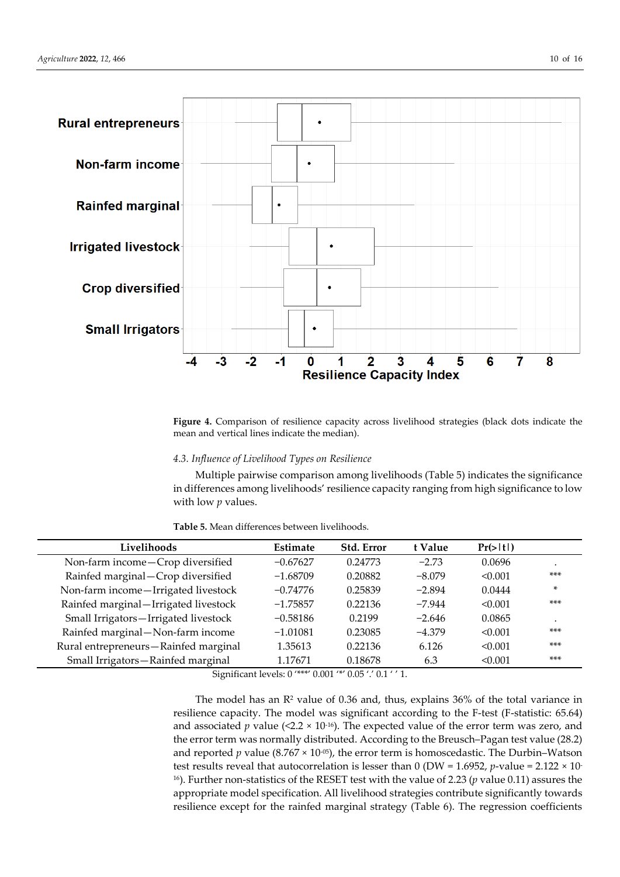

**Figure 4.** Comparison of resilience capacity across livelihood strategies (black dots indicate the mean and vertical lines indicate the median).

## *4.3. Influence of Livelihood Types on Resilience*

Multiple pairwise comparison among livelihoods (Table 5) indicates the significance in differences among livelihoods' resilience capacity ranging from high significance to low with low *p* values.

**Table 5.** Mean differences between livelihoods.

| Livelihoods                          | Estimate   | <b>Std. Error</b>                                           | t Value  | Pr(> t ) |       |
|--------------------------------------|------------|-------------------------------------------------------------|----------|----------|-------|
| Non-farm income-Crop diversified     | $-0.67627$ | 0.24773                                                     | $-2.73$  | 0.0696   |       |
| Rainfed marginal-Crop diversified    | $-1.68709$ | 0.20882                                                     | $-8.079$ | < 0.001  | $***$ |
| Non-farm income-Irrigated livestock  | $-0.74776$ | 0.25839                                                     | $-2.894$ | 0.0444   | ×.    |
| Rainfed marginal-Irrigated livestock | $-1.75857$ | 0.22136                                                     | $-7.944$ | < 0.001  | $***$ |
| Small Irrigators-Irrigated livestock | $-0.58186$ | 0.2199                                                      | $-2.646$ | 0.0865   |       |
| Rainfed marginal-Non-farm income     | $-1.01081$ | 0.23085                                                     | $-4.379$ | < 0.001  | $***$ |
| Rural entrepreneurs-Rainfed marginal | 1.35613    | 0.22136                                                     | 6.126    | < 0.001  | $***$ |
| Small Irrigators-Rainfed marginal    | 1.17671    | 0.18678                                                     | 6.3      | < 0.001  | $***$ |
| $\cdot$ $\cdot$<br>$\sim$            |            | $\mathbf{1}$ a count a agricult a amplitude of $\mathbf{1}$ |          |          |       |

Significant levels: 0 '\*\*\*' 0.001 '\*' 0.05 '.' 0.1 ' ' 1.

The model has an R<sup>2</sup> value of 0.36 and, thus, explains 36% of the total variance in resilience capacity. The model was significant according to the F-test (F-statistic: 65.64) and associated *p* value (<2.2  $\times$  10<sup>-16</sup>). The expected value of the error term was zero, and the error term was normally distributed. According to the Breusch–Pagan test value (28.2) and reported *p* value (8.767  $\times$  10<sup>-05</sup>), the error term is homoscedastic. The Durbin–Watson test results reveal that autocorrelation is lesser than 0 (DW = 1.6952, *p*-value = 2.122 × 10- 16). Further non-statistics of the RESET test with the value of 2.23 (*p* value 0.11) assures the appropriate model specification. All livelihood strategies contribute significantly towards resilience except for the rainfed marginal strategy (Table 6). The regression coefficients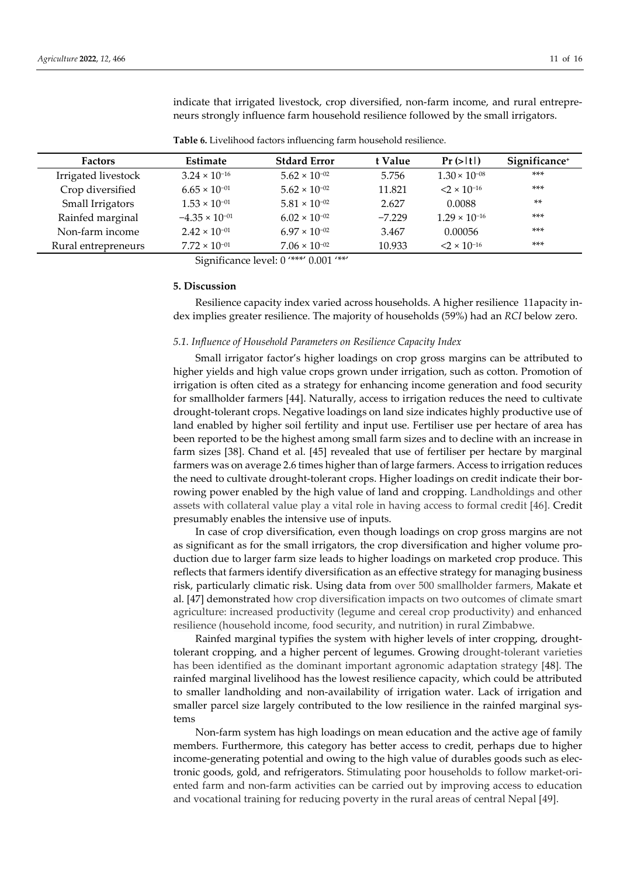indicate that irrigated livestock, crop diversified, non-farm income, and rural entrepreneurs strongly influence farm household resilience followed by the small irrigators.

| <b>Factors</b>      | <b>Estimate</b>         | <b>Stdard Error</b>    | t Value  | Pr(> t )               | Significance+ |
|---------------------|-------------------------|------------------------|----------|------------------------|---------------|
| Irrigated livestock | $3.24 \times 10^{-16}$  | $5.62 \times 10^{-02}$ | 5.756    | $1.30 \times 10^{-08}$ | $***$         |
| Crop diversified    | $6.65 \times 10^{-01}$  | $5.62 \times 10^{-02}$ | 11.821   | $2 \times 10^{-16}$    | $***$         |
| Small Irrigators    | $1.53 \times 10^{-01}$  | $5.81 \times 10^{-02}$ | 2.627    | 0.0088                 | $**$          |
| Rainfed marginal    | $-4.35 \times 10^{-01}$ | $6.02 \times 10^{-02}$ | $-7.229$ | $1.29 \times 10^{-16}$ | $***$         |
| Non-farm income     | $2.42 \times 10^{-01}$  | $6.97 \times 10^{-02}$ | 3.467    | 0.00056                | ***           |
| Rural entrepreneurs | $7.72 \times 10^{-01}$  | $7.06 \times 10^{-02}$ | 10.933   | $2 \times 10^{-16}$    | $***$         |

**Table 6.** Livelihood factors influencing farm household resilience.

Significance level: 0 '\*\*\*' 0.001 '\*\*'

#### **5. Discussion**

Resilience capacity index varied across households. A higher resilience 11apacity index implies greater resilience. The majority of households (59%) had an *RCI* below zero.

# *5.1. Influence of Household Parameters on Resilience Capacity Index*

Small irrigator factor's higher loadings on crop gross margins can be attributed to higher yields and high value crops grown under irrigation, such as cotton. Promotion of irrigation is often cited as a strategy for enhancing income generation and food security for smallholder farmers [44]. Naturally, access to irrigation reduces the need to cultivate drought-tolerant crops. Negative loadings on land size indicates highly productive use of land enabled by higher soil fertility and input use. Fertiliser use per hectare of area has been reported to be the highest among small farm sizes and to decline with an increase in farm sizes [38]. Chand et al. [45] revealed that use of fertiliser per hectare by marginal farmers was on average 2.6 times higher than of large farmers. Access to irrigation reduces the need to cultivate drought-tolerant crops. Higher loadings on credit indicate their borrowing power enabled by the high value of land and cropping. Landholdings and other assets with collateral value play a vital role in having access to formal credit [46]. Credit presumably enables the intensive use of inputs.

In case of crop diversification, even though loadings on crop gross margins are not as significant as for the small irrigators, the crop diversification and higher volume production due to larger farm size leads to higher loadings on marketed crop produce. This reflects that farmers identify diversification as an effective strategy for managing business risk, particularly climatic risk. Using data from over 500 smallholder farmers, Makate et al. [47] demonstrated how crop diversification impacts on two outcomes of climate smart agriculture: increased productivity (legume and cereal crop productivity) and enhanced resilience (household income, food security, and nutrition) in rural Zimbabwe.

Rainfed marginal typifies the system with higher levels of inter cropping, droughttolerant cropping, and a higher percent of legumes. Growing drought-tolerant varieties has been identified as the dominant important agronomic adaptation strategy [48]. The rainfed marginal livelihood has the lowest resilience capacity, which could be attributed to smaller landholding and non-availability of irrigation water. Lack of irrigation and smaller parcel size largely contributed to the low resilience in the rainfed marginal systems

Non-farm system has high loadings on mean education and the active age of family members. Furthermore, this category has better access to credit, perhaps due to higher income-generating potential and owing to the high value of durables goods such as electronic goods, gold, and refrigerators. Stimulating poor households to follow market-oriented farm and non-farm activities can be carried out by improving access to education and vocational training for reducing poverty in the rural areas of central Nepal [49].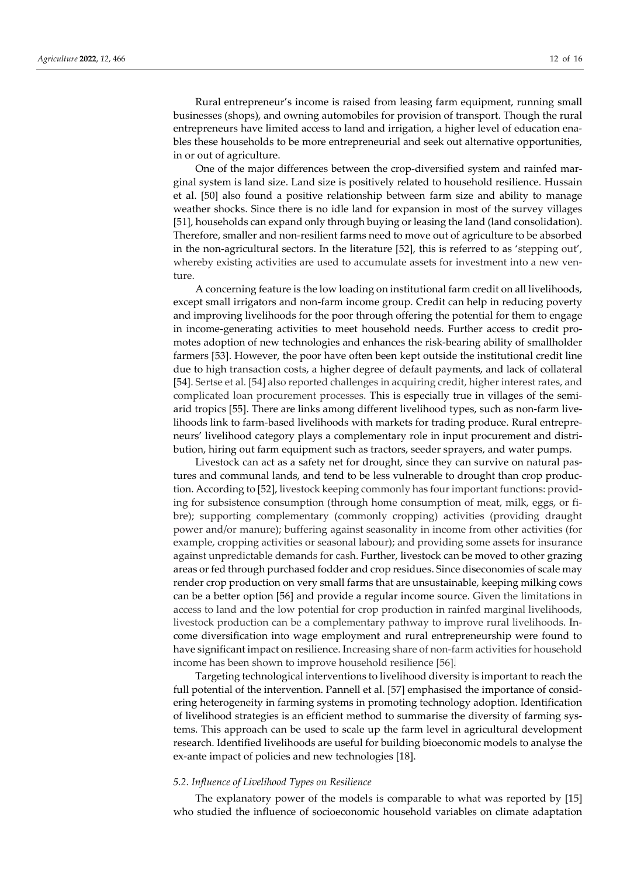Rural entrepreneur's income is raised from leasing farm equipment, running small businesses (shops), and owning automobiles for provision of transport. Though the rural entrepreneurs have limited access to land and irrigation, a higher level of education enables these households to be more entrepreneurial and seek out alternative opportunities, in or out of agriculture.

One of the major differences between the crop-diversified system and rainfed marginal system is land size. Land size is positively related to household resilience. Hussain et al. [50] also found a positive relationship between farm size and ability to manage weather shocks. Since there is no idle land for expansion in most of the survey villages [51], households can expand only through buying or leasing the land (land consolidation). Therefore, smaller and non-resilient farms need to move out of agriculture to be absorbed in the non-agricultural sectors. In the literature [52], this is referred to as 'stepping out', whereby existing activities are used to accumulate assets for investment into a new venture.

A concerning feature is the low loading on institutional farm credit on all livelihoods, except small irrigators and non-farm income group. Credit can help in reducing poverty and improving livelihoods for the poor through offering the potential for them to engage in income-generating activities to meet household needs. Further access to credit promotes adoption of new technologies and enhances the risk-bearing ability of smallholder farmers [53]. However, the poor have often been kept outside the institutional credit line due to high transaction costs, a higher degree of default payments, and lack of collateral [54]. Sertse et al. [54] also reported challenges in acquiring credit, higher interest rates, and complicated loan procurement processes. This is especially true in villages of the semiarid tropics [55]. There are links among different livelihood types, such as non-farm livelihoods link to farm-based livelihoods with markets for trading produce. Rural entrepreneurs' livelihood category plays a complementary role in input procurement and distribution, hiring out farm equipment such as tractors, seeder sprayers, and water pumps.

Livestock can act as a safety net for drought, since they can survive on natural pastures and communal lands, and tend to be less vulnerable to drought than crop production. According to [52], livestock keeping commonly has four important functions: providing for subsistence consumption (through home consumption of meat, milk, eggs, or fibre); supporting complementary (commonly cropping) activities (providing draught power and/or manure); buffering against seasonality in income from other activities (for example, cropping activities or seasonal labour); and providing some assets for insurance against unpredictable demands for cash. Further, livestock can be moved to other grazing areas or fed through purchased fodder and crop residues. Since diseconomies of scale may render crop production on very small farms that are unsustainable, keeping milking cows can be a better option [56] and provide a regular income source. Given the limitations in access to land and the low potential for crop production in rainfed marginal livelihoods, livestock production can be a complementary pathway to improve rural livelihoods. Income diversification into wage employment and rural entrepreneurship were found to have significant impact on resilience. Increasing share of non-farm activities for household income has been shown to improve household resilience [56].

Targeting technological interventions to livelihood diversity is important to reach the full potential of the intervention. Pannell et al. [57] emphasised the importance of considering heterogeneity in farming systems in promoting technology adoption. Identification of livelihood strategies is an efficient method to summarise the diversity of farming systems. This approach can be used to scale up the farm level in agricultural development research. Identified livelihoods are useful for building bioeconomic models to analyse the ex-ante impact of policies and new technologies [18].

#### *5.2. Influence of Livelihood Types on Resilience*

The explanatory power of the models is comparable to what was reported by [15] who studied the influence of socioeconomic household variables on climate adaptation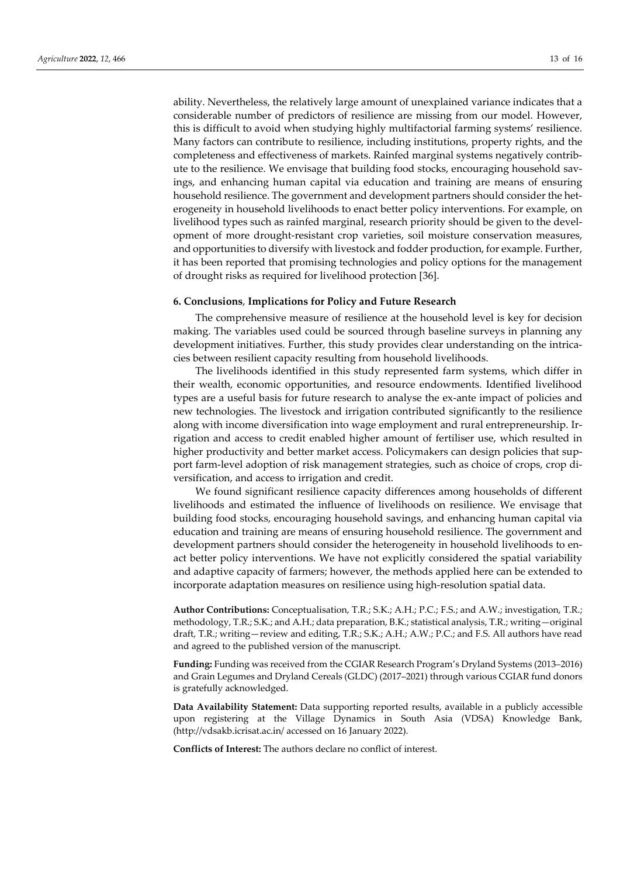ability. Nevertheless, the relatively large amount of unexplained variance indicates that a considerable number of predictors of resilience are missing from our model. However, this is difficult to avoid when studying highly multifactorial farming systems' resilience. Many factors can contribute to resilience, including institutions, property rights, and the completeness and effectiveness of markets. Rainfed marginal systems negatively contribute to the resilience. We envisage that building food stocks, encouraging household savings, and enhancing human capital via education and training are means of ensuring household resilience. The government and development partners should consider the heterogeneity in household livelihoods to enact better policy interventions. For example, on livelihood types such as rainfed marginal, research priority should be given to the development of more drought-resistant crop varieties, soil moisture conservation measures, and opportunities to diversify with livestock and fodder production, for example. Further, it has been reported that promising technologies and policy options for the management of drought risks as required for livelihood protection [36].

#### **6. Conclusions**, **Implications for Policy and Future Research**

The comprehensive measure of resilience at the household level is key for decision making. The variables used could be sourced through baseline surveys in planning any development initiatives. Further, this study provides clear understanding on the intricacies between resilient capacity resulting from household livelihoods.

The livelihoods identified in this study represented farm systems, which differ in their wealth, economic opportunities, and resource endowments. Identified livelihood types are a useful basis for future research to analyse the ex-ante impact of policies and new technologies. The livestock and irrigation contributed significantly to the resilience along with income diversification into wage employment and rural entrepreneurship. Irrigation and access to credit enabled higher amount of fertiliser use, which resulted in higher productivity and better market access. Policymakers can design policies that support farm-level adoption of risk management strategies, such as choice of crops, crop diversification, and access to irrigation and credit.

We found significant resilience capacity differences among households of different livelihoods and estimated the influence of livelihoods on resilience. We envisage that building food stocks, encouraging household savings, and enhancing human capital via education and training are means of ensuring household resilience. The government and development partners should consider the heterogeneity in household livelihoods to enact better policy interventions. We have not explicitly considered the spatial variability and adaptive capacity of farmers; however, the methods applied here can be extended to incorporate adaptation measures on resilience using high-resolution spatial data.

**Author Contributions:** Conceptualisation, T.R.; S.K.; A.H.; P.C.; F.S.; and A.W.; investigation, T.R.; methodology, T.R.; S.K.; and A.H.; data preparation, B.K.; statistical analysis, T.R.; writing—original draft, T.R.; writing—review and editing, T.R.; S.K.; A.H.; A.W.; P.C.; and F.S. All authors have read and agreed to the published version of the manuscript.

**Funding:** Funding was received from the CGIAR Research Program's Dryland Systems (2013–2016) and Grain Legumes and Dryland Cereals (GLDC) (2017–2021) through various CGIAR fund donors is gratefully acknowledged.

**Data Availability Statement:** Data supporting reported results, available in a publicly accessible upon registering at the Village Dynamics in South Asia (VDSA) Knowledge Bank, (http://vdsakb.icrisat.ac.in/ accessed on 16 January 2022).

**Conflicts of Interest:** The authors declare no conflict of interest.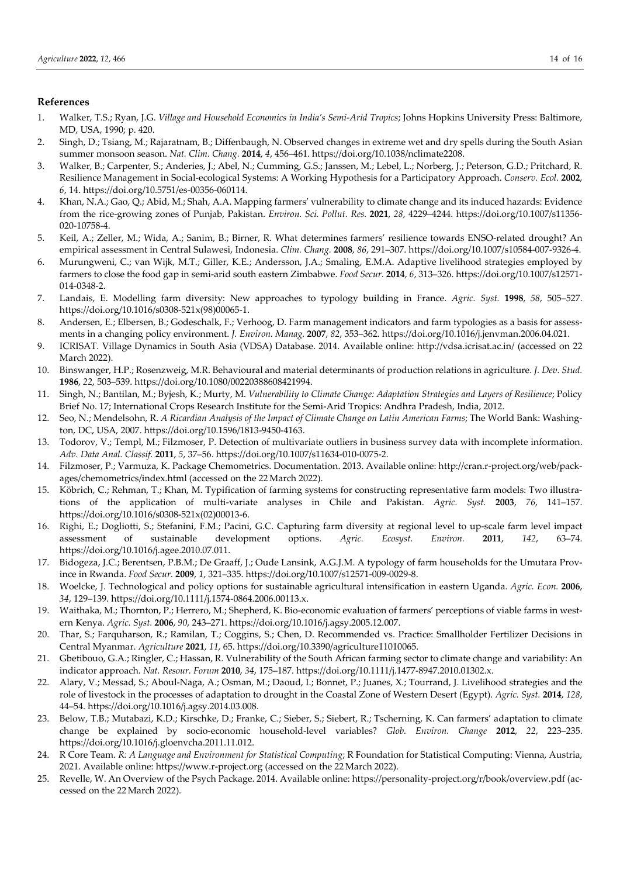## **References**

- 1. Walker, T.S.; Ryan, J.G. *Village and Household Economics in India's Semi-Arid Tropics*; Johns Hopkins University Press: Baltimore, MD, USA, 1990; p. 420.
- 2. Singh, D.; Tsiang, M.; Rajaratnam, B.; Diffenbaugh, N. Observed changes in extreme wet and dry spells during the South Asian summer monsoon season. *Nat. Clim. Chang.* **2014**, *4*, 456–461. https://doi.org/10.1038/nclimate2208.
- 3. Walker, B.; Carpenter, S.; Anderies, J.; Abel, N.; Cumming, G.S.; Janssen, M.; Lebel, L.; Norberg, J.; Peterson, G.D.; Pritchard, R. Resilience Management in Social-ecological Systems: A Working Hypothesis for a Participatory Approach. *Conserv. Ecol.* **2002**, *6*, 14. https://doi.org/10.5751/es-00356-060114.
- 4. Khan, N.A.; Gao, Q.; Abid, M.; Shah, A.A. Mapping farmers' vulnerability to climate change and its induced hazards: Evidence from the rice-growing zones of Punjab, Pakistan. *Environ. Sci. Pollut. Res.* **2021**, *28*, 4229–4244. https://doi.org/10.1007/s11356- 020-10758-4.
- 5. Keil, A.; Zeller, M.; Wida, A.; Sanim, B.; Birner, R. What determines farmers' resilience towards ENSO-related drought? An empirical assessment in Central Sulawesi, Indonesia. *Clim. Chang.* **2008**, *86*, 291–307. https://doi.org/10.1007/s10584-007-9326-4.
- 6. Murungweni, C.; van Wijk, M.T.; Giller, K.E.; Andersson, J.A.; Smaling, E.M.A. Adaptive livelihood strategies employed by farmers to close the food gap in semi-arid south eastern Zimbabwe. *Food Secur.* **2014**, *6*, 313–326. https://doi.org/10.1007/s12571- 014-0348-2.
- 7. Landais, E. Modelling farm diversity: New approaches to typology building in France. *Agric. Syst.* **1998**, *58*, 505–527. https://doi.org/10.1016/s0308-521x(98)00065-1.
- 8. Andersen, E.; Elbersen, B.; Godeschalk, F.; Verhoog, D. Farm management indicators and farm typologies as a basis for assessments in a changing policy environment. *J. Environ. Manag.* **2007**, *82*, 353–362. https://doi.org/10.1016/j.jenvman.2006.04.021.
- 9. ICRISAT. Village Dynamics in South Asia (VDSA) Database. 2014. Available online: http://vdsa.icrisat.ac.in/ (accessed on 22 March 2022).
- 10. Binswanger, H.P.; Rosenzweig, M.R. Behavioural and material determinants of production relations in agriculture. *J. Dev. Stud.* **1986**, *22*, 503–539. https://doi.org/10.1080/00220388608421994.
- 11. Singh, N.; Bantilan, M.; Byjesh, K.; Murty, M. *Vulnerability to Climate Change: Adaptation Strategies and Layers of Resilience*; Policy Brief No. 17; International Crops Research Institute for the Semi-Arid Tropics: Andhra Pradesh, India, 2012.
- 12. Seo, N.; Mendelsohn, R. *A Ricardian Analysis of the Impact of Climate Change on Latin American Farms*; The World Bank: Washington, DC, USA, 2007. https://doi.org/10.1596/1813-9450-4163.
- 13. Todorov, V.; Templ, M.; Filzmoser, P. Detection of multivariate outliers in business survey data with incomplete information. *Adv. Data Anal. Classif.* **2011**, *5*, 37–56. https://doi.org/10.1007/s11634-010-0075-2.
- 14. Filzmoser, P.; Varmuza, K. Package Chemometrics. Documentation. 2013. Available online: http://cran.r-project.org/web/packages/chemometrics/index.html (accessed on the 22March 2022).
- 15. Köbrich, C.; Rehman, T.; Khan, M. Typification of farming systems for constructing representative farm models: Two illustrations of the application of multi-variate analyses in Chile and Pakistan. *Agric. Syst.* **2003**, *76*, 141–157. https://doi.org/10.1016/s0308-521x(02)00013-6.
- 16. Righi, E.; Dogliotti, S.; Stefanini, F.M.; Pacini, G.C. Capturing farm diversity at regional level to up-scale farm level impact assessment of sustainable development options. *Agric. Ecosyst. Environ.* **2011**, *142*, 63–74. https://doi.org/10.1016/j.agee.2010.07.011.
- 17. Bidogeza, J.C.; Berentsen, P.B.M.; De Graaff, J.; Oude Lansink, A.G.J.M. A typology of farm households for the Umutara Province in Rwanda. *Food Secur.* **2009**, *1*, 321–335. https://doi.org/10.1007/s12571-009-0029-8.
- 18. Woelcke, J. Technological and policy options for sustainable agricultural intensification in eastern Uganda. *Agric. Econ.* **2006**, *34*, 129–139. https://doi.org/10.1111/j.1574-0864.2006.00113.x.
- 19. Waithaka, M.; Thornton, P.; Herrero, M.; Shepherd, K. Bio-economic evaluation of farmers' perceptions of viable farms in western Kenya. *Agric. Syst.* **2006**, *90*, 243–271. https://doi.org/10.1016/j.agsy.2005.12.007.
- 20. Thar, S.; Farquharson, R.; Ramilan, T.; Coggins, S.; Chen, D. Recommended vs. Practice: Smallholder Fertilizer Decisions in Central Myanmar. *Agriculture* **2021**, *11*, 65. https://doi.org/10.3390/agriculture11010065.
- 21. Gbetibouo, G.A.; Ringler, C.; Hassan, R. Vulnerability of the South African farming sector to climate change and variability: An indicator approach. *Nat. Resour. Forum* **2010**, *34*, 175–187. https://doi.org/10.1111/j.1477-8947.2010.01302.x.
- 22. Alary, V.; Messad, S.; Aboul-Naga, A.; Osman, M.; Daoud, I.; Bonnet, P.; Juanes, X.; Tourrand, J. Livelihood strategies and the role of livestock in the processes of adaptation to drought in the Coastal Zone of Western Desert (Egypt). *Agric. Syst.* **2014**, *128*, 44–54. https://doi.org/10.1016/j.agsy.2014.03.008.
- 23. Below, T.B.; Mutabazi, K.D.; Kirschke, D.; Franke, C.; Sieber, S.; Siebert, R.; Tscherning, K. Can farmers' adaptation to climate change be explained by socio-economic household-level variables? *Glob. Environ. Change* **2012**, *22*, 223–235. https://doi.org/10.1016/j.gloenvcha.2011.11.012.
- 24. R Core Team. *R: A Language and Environment for Statistical Computing*; R Foundation for Statistical Computing: Vienna, Austria, 2021. Available online: https://www.r-project.org (accessed on the 22 March 2022).
- 25. Revelle, W. An Overview of the Psych Package. 2014. Available online: https://personality-project.org/r/book/overview.pdf (accessed on the 22 March 2022).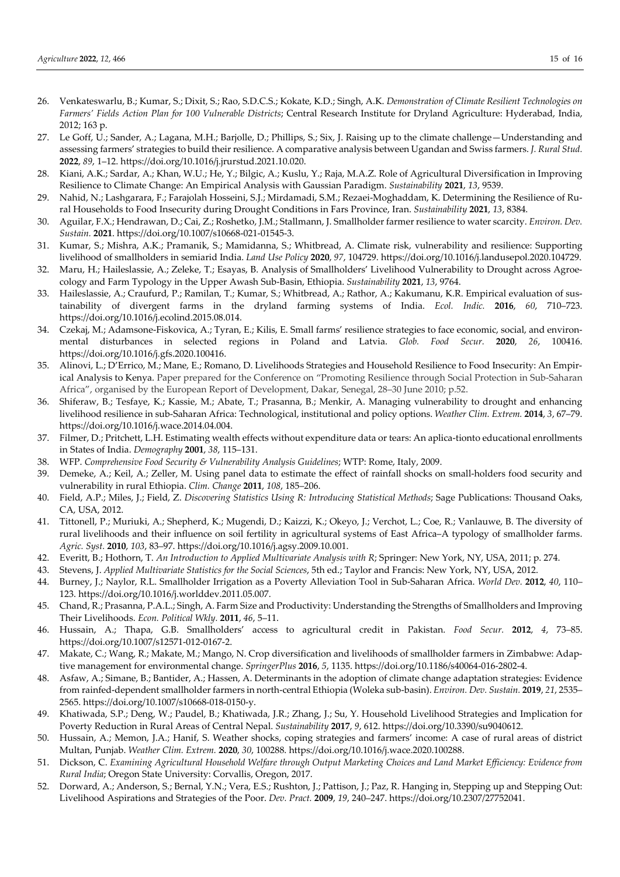- 26. Venkateswarlu, B.; Kumar, S.; Dixit, S.; Rao, S.D.C.S.; Kokate, K.D.; Singh, A.K. *Demonstration of Climate Resilient Technologies on Farmers' Fields Action Plan for 100 Vulnerable Districts*; Central Research Institute for Dryland Agriculture: Hyderabad, India, 2012; 163 p.
- 27. Le Goff, U.; Sander, A.; Lagana, M.H.; Barjolle, D.; Phillips, S.; Six, J. Raising up to the climate challenge—Understanding and assessing farmers' strategies to build their resilience. A comparative analysis between Ugandan and Swiss farmers. *J. Rural Stud.* **2022**, *89*, 1–12. https://doi.org/10.1016/j.jrurstud.2021.10.020.
- 28. Kiani, A.K.; Sardar, A.; Khan, W.U.; He, Y.; Bilgic, A.; Kuslu, Y.; Raja, M.A.Z. Role of Agricultural Diversification in Improving Resilience to Climate Change: An Empirical Analysis with Gaussian Paradigm. *Sustainability* **2021**, *13*, 9539.
- 29. Nahid, N.; Lashgarara, F.; Farajolah Hosseini, S.J.; Mirdamadi, S.M.; Rezaei-Moghaddam, K. Determining the Resilience of Rural Households to Food Insecurity during Drought Conditions in Fars Province, Iran. *Sustainability* **2021**, *13*, 8384.
- 30. Aguilar, F.X.; Hendrawan, D.; Cai, Z.; Roshetko, J.M.; Stallmann, J. Smallholder farmer resilience to water scarcity. *Environ. Dev. Sustain.* **2021**. https://doi.org/10.1007/s10668-021-01545-3.
- 31. Kumar, S.; Mishra, A.K.; Pramanik, S.; Mamidanna, S.; Whitbread, A. Climate risk, vulnerability and resilience: Supporting livelihood of smallholders in semiarid India. *Land Use Policy* **2020**, *97*, 104729. https://doi.org/10.1016/j.landusepol.2020.104729.
- 32. Maru, H.; Haileslassie, A.; Zeleke, T.; Esayas, B. Analysis of Smallholders' Livelihood Vulnerability to Drought across Agroecology and Farm Typology in the Upper Awash Sub-Basin, Ethiopia. *Sustainability* **2021**, *13*, 9764.
- 33. Haileslassie, A.; Craufurd, P.; Ramilan, T.; Kumar, S.; Whitbread, A.; Rathor, A.; Kakumanu, K.R. Empirical evaluation of sustainability of divergent farms in the dryland farming systems of India. *Ecol. Indic.* **2016**, *60*, 710–723. https://doi.org/10.1016/j.ecolind.2015.08.014.
- 34. Czekaj, M.; Adamsone-Fiskovica, A.; Tyran, E.; Kilis, E. Small farms' resilience strategies to face economic, social, and environmental disturbances in selected regions in Poland and Latvia. *Glob. Food Secur.* **2020**, *26*, 100416. https://doi.org/10.1016/j.gfs.2020.100416.
- 35. Alinovi, L.; D'Errico, M.; Mane, E.; Romano, D. Livelihoods Strategies and Household Resilience to Food Insecurity: An Empirical Analysis to Kenya. Paper prepared for the Conference on "Promoting Resilience through Social Protection in Sub-Saharan Africa", organised by the European Report of Development, Dakar, Senegal, 28–30 June 2010; p.52.
- 36. Shiferaw, B.; Tesfaye, K.; Kassie, M.; Abate, T.; Prasanna, B.; Menkir, A. Managing vulnerability to drought and enhancing livelihood resilience in sub-Saharan Africa: Technological, institutional and policy options. *Weather Clim. Extrem.* **2014**, *3*, 67–79. https://doi.org/10.1016/j.wace.2014.04.004.
- 37. Filmer, D.; Pritchett, L.H. Estimating wealth effects without expenditure data or tears: An aplica-tionto educational enrollments in States of India. *Demography* **2001**, *38*, 115–131.
- 38. WFP. *Comprehensive Food Security & Vulnerability Analysis Guidelines*; WTP: Rome, Italy, 2009.
- 39. Demeke, A.; Keil, A.; Zeller, M. Using panel data to estimate the effect of rainfall shocks on small-holders food security and vulnerability in rural Ethiopia. *Clim. Change* **2011**, *108*, 185–206.
- 40. Field, A.P.; Miles, J.; Field, Z. *Discovering Statistics Using R: Introducing Statistical Methods*; Sage Publications: Thousand Oaks, CA, USA, 2012.
- 41. Tittonell, P.; Muriuki, A.; Shepherd, K.; Mugendi, D.; Kaizzi, K.; Okeyo, J.; Verchot, L.; Coe, R.; Vanlauwe, B. The diversity of rural livelihoods and their influence on soil fertility in agricultural systems of East Africa–A typology of smallholder farms. *Agric. Syst.* **2010**, *103*, 83–97. https://doi.org/10.1016/j.agsy.2009.10.001.
- 42. Everitt, B.; Hothorn, T. *An Introduction to Applied Multivariate Analysis with R*; Springer: New York, NY, USA, 2011; p. 274.
- 43. Stevens, J. *Applied Multivariate Statistics for the Social Sciences*, 5th ed.; Taylor and Francis: New York, NY, USA, 2012.
- 44. Burney, J.; Naylor, R.L. Smallholder Irrigation as a Poverty Alleviation Tool in Sub-Saharan Africa. *World Dev.* **2012**, *40*, 110– 123. https://doi.org/10.1016/j.worlddev.2011.05.007.
- 45. Chand, R.; Prasanna, P.A.L.; Singh, A. Farm Size and Productivity: Understanding the Strengths of Smallholders and Improving Their Livelihoods. *Econ. Political Wkly.* **2011**, *46*, 5–11.
- 46. Hussain, A.; Thapa, G.B. Smallholders' access to agricultural credit in Pakistan. *Food Secur.* **2012**, *4*, 73–85. https://doi.org/10.1007/s12571-012-0167-2.
- 47. Makate, C.; Wang, R.; Makate, M.; Mango, N. Crop diversification and livelihoods of smallholder farmers in Zimbabwe: Adaptive management for environmental change. *SpringerPlus* **2016**, *5*, 1135. https://doi.org/10.1186/s40064-016-2802-4.
- 48. Asfaw, A.; Simane, B.; Bantider, A.; Hassen, A. Determinants in the adoption of climate change adaptation strategies: Evidence from rainfed-dependent smallholder farmers in north-central Ethiopia (Woleka sub-basin). *Environ. Dev. Sustain.* **2019**, *21*, 2535– 2565. https://doi.org/10.1007/s10668-018-0150-y.
- 49. Khatiwada, S.P.; Deng, W.; Paudel, B.; Khatiwada, J.R.; Zhang, J.; Su, Y. Household Livelihood Strategies and Implication for Poverty Reduction in Rural Areas of Central Nepal. *Sustainability* **2017**, *9*, 612. https://doi.org/10.3390/su9040612.
- 50. Hussain, A.; Memon, J.A.; Hanif, S. Weather shocks, coping strategies and farmers' income: A case of rural areas of district Multan, Punjab. *Weather Clim. Extrem.* **2020**, *30*, 100288. https://doi.org/10.1016/j.wace.2020.100288.
- 51. Dickson, C. *Examining Agricultural Household Welfare through Output Marketing Choices and Land Market Efficiency: Evidence from Rural India*; Oregon State University: Corvallis, Oregon, 2017.
- 52. Dorward, A.; Anderson, S.; Bernal, Y.N.; Vera, E.S.; Rushton, J.; Pattison, J.; Paz, R. Hanging in, Stepping up and Stepping Out: Livelihood Aspirations and Strategies of the Poor. *Dev. Pract.* **2009**, *19*, 240–247. https://doi.org/10.2307/27752041.